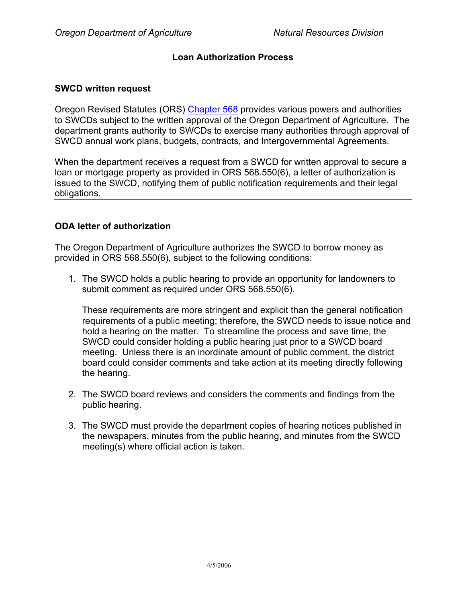## **Loan Authorization Process**

#### **SWCD written request**

Oregon Revised Statutes (ORS) Chapter 568 provides various powers and authorities to SWCDs subject to the written approval of the Oregon Department of Agriculture. The department grants authority to SWCDs to exercise many authorities through approval of SWCD annual work plans, budgets, contracts, and Intergovernmental Agreements.

When the department receives a request from a SWCD for written approval to secure a loan or mortgage property as provided in ORS 568.550(6), a letter of authorization is issued to the SWCD, notifying them of public notification requirements and their legal obligations.

### **ODA letter of authorization**

The Oregon Department of Agriculture authorizes the SWCD to borrow money as provided in ORS 568.550(6), subject to the following conditions:

1. The SWCD holds a public hearing to provide an opportunity for landowners to submit comment as required under ORS 568.550(6).

These requirements are more stringent and explicit than the general notification requirements of a public meeting; therefore, the SWCD needs to issue notice and hold a hearing on the matter. To streamline the process and save time, the SWCD could consider holding a public hearing just prior to a SWCD board meeting. Unless there is an inordinate amount of public comment, the district board could consider comments and take action at its meeting directly following the hearing.

- 2. The SWCD board reviews and considers the comments and findings from the public hearing.
- 3. The SWCD must provide the department copies of hearing notices published in the newspapers, minutes from the public hearing, and minutes from the SWCD meeting(s) where official action is taken.